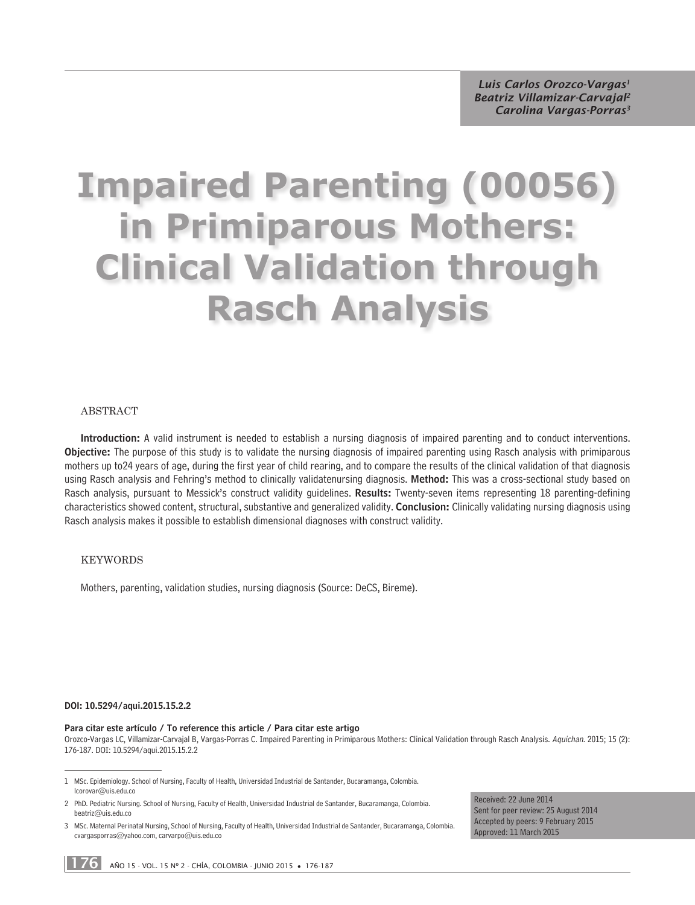*Luis Carlos Orozco-Vargas1 Beatriz Villamizar-Carvajal2 Carolina Vargas-Porras3*

# **Impaired Parenting (00056) in Primiparous Mothers: Clinical Validation through Rasch Analysis**

#### **ABSTRACT**

Introduction: A valid instrument is needed to establish a nursing diagnosis of impaired parenting and to conduct interventions. Objective: The purpose of this study is to validate the nursing diagnosis of impaired parenting using Rasch analysis with primiparous mothers up to24 years of age, during the first year of child rearing, and to compare the results of the clinical validation of that diagnosis using Rasch analysis and Fehring's method to clinically validatenursing diagnosis. Method: This was a cross-sectional study based on Rasch analysis, pursuant to Messick's construct validity guidelines. Results: Twenty-seven items representing 18 parenting-defining characteristics showed content, structural, substantive and generalized validity. Conclusion: Clinically validating nursing diagnosis using Rasch analysis makes it possible to establish dimensional diagnoses with construct validity.

#### KeYWoRDs

Mothers, parenting, validation studies, nursing diagnosis (Source: DeCS, Bireme).

#### DOI: 10.5294/aqui.2015.15.2.2

#### Para citar este artículo / To reference this article / Para citar este artigo

Orozco-Vargas LC, Villamizar-Carvajal B, Vargas-Porras C. Impaired Parenting in Primiparous Mothers: Clinical Validation through Rasch Analysis. Aquichan. 2015; 15 (2): 176-187. DOI: 10.5294/aqui.2015.15.2.2

Received: 22 June 2014 Sent for peer review: 25 August 2014 Accepted by peers: 9 February 2015 Approved: 11 March 2015

<sup>1</sup> MSc. Epidemiology. School of Nursing, Faculty of Health, Universidad Industrial de Santander, Bucaramanga, Colombia. lcorovar@uis.edu.co

<sup>2</sup> PhD. Pediatric Nursing. School of Nursing, Faculty of Health, Universidad Industrial de Santander, Bucaramanga, Colombia. beatriz@uis.edu.co

<sup>3</sup> MSc. Maternal Perinatal Nursing, School of Nursing, Faculty of Health, Universidad Industrial de Santander, Bucaramanga, Colombia. cvargasporras@yahoo.com, carvarpo@uis.edu.co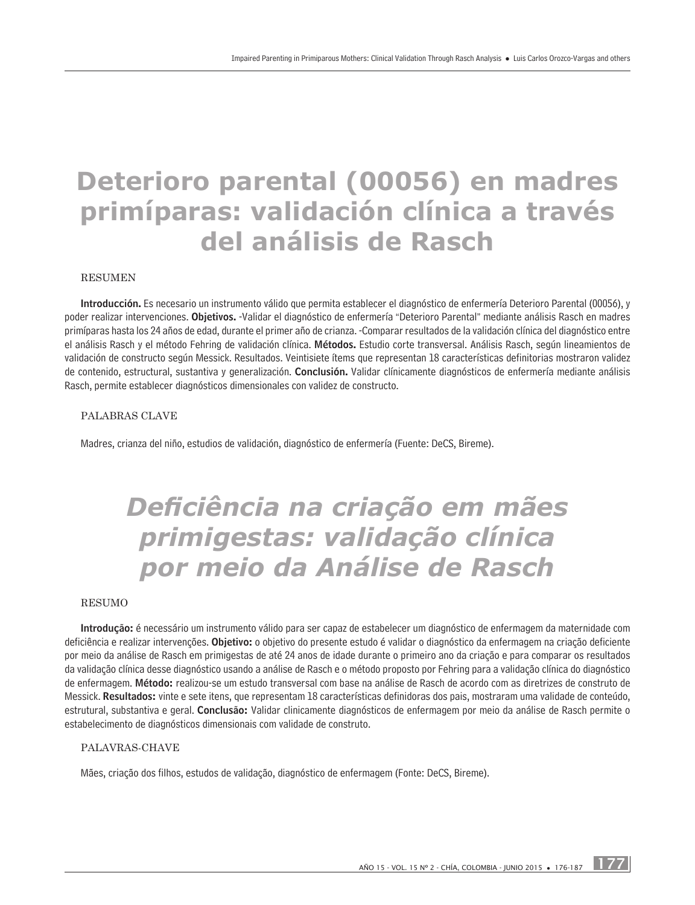# **Deterioro parental (00056) en madres primíparas: validación clínica a través del análisis de Rasch**

#### **RESUMEN**

Introducción. Es necesario un instrumento válido que permita establecer el diagnóstico de enfermería Deterioro Parental (00056), y poder realizar intervenciones. Objetivos. -Validar el diagnóstico de enfermería "Deterioro Parental" mediante análisis Rasch en madres primíparas hasta los 24 años de edad, durante el primer año de crianza. -Comparar resultados de la validación clínica del diagnóstico entre el análisis Rasch y el método Fehring de validación clínica. Métodos. Estudio corte transversal. Análisis Rasch, según lineamientos de validación de constructo según Messick. Resultados. Veintisiete ítems que representan 18 características definitorias mostraron validez de contenido, estructural, sustantiva y generalización. Conclusión. Validar clínicamente diagnósticos de enfermería mediante análisis Rasch, permite establecer diagnósticos dimensionales con validez de constructo.

#### Palabras clave

Madres, crianza del niño, estudios de validación, diagnóstico de enfermería (Fuente: DeCS, Bireme).

# *Deficiência na criação em mães primigestas: validação clínica por meio da Análise de Rasch*

#### Resumo

Introdução: é necessário um instrumento válido para ser capaz de estabelecer um diagnóstico de enfermagem da maternidade com deficiência e realizar intervenções. Objetivo: o objetivo do presente estudo é validar o diagnóstico da enfermagem na criação deficiente por meio da análise de Rasch em primigestas de até 24 anos de idade durante o primeiro ano da criação e para comparar os resultados da validação clínica desse diagnóstico usando a análise de Rasch e o método proposto por Fehring para a validação clínica do diagnóstico de enfermagem. Método: realizou-se um estudo transversal com base na análise de Rasch de acordo com as diretrizes de construto de Messick. Resultados: vinte e sete itens, que representam 18 características definidoras dos pais, mostraram uma validade de conteúdo, estrutural, substantiva e geral. Conclusão: Validar clinicamente diagnósticos de enfermagem por meio da análise de Rasch permite o estabelecimento de diagnósticos dimensionais com validade de construto.

#### PALAVRAS-CHAVE

Mães, criação dos filhos, estudos de validação, diagnóstico de enfermagem (Fonte: DeCS, Bireme).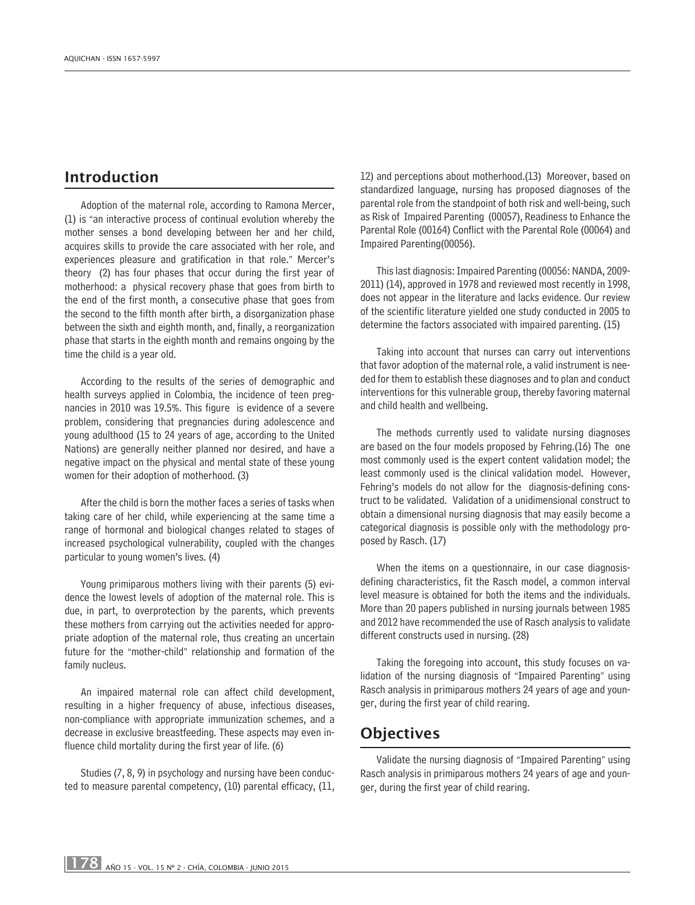# Introduction

Adoption of the maternal role, according to Ramona Mercer, (1) is "an interactive process of continual evolution whereby the mother senses a bond developing between her and her child, acquires skills to provide the care associated with her role, and experiences pleasure and gratification in that role." Mercer's theory (2) has four phases that occur during the first year of motherhood: a physical recovery phase that goes from birth to the end of the first month, a consecutive phase that goes from the second to the fifth month after birth, a disorganization phase between the sixth and eighth month, and, finally, a reorganization phase that starts in the eighth month and remains ongoing by the time the child is a year old.

According to the results of the series of demographic and health surveys applied in Colombia, the incidence of teen pregnancies in 2010 was 19.5%. This figure is evidence of a severe problem, considering that pregnancies during adolescence and young adulthood (15 to 24 years of age, according to the United Nations) are generally neither planned nor desired, and have a negative impact on the physical and mental state of these young women for their adoption of motherhood. (3)

After the child is born the mother faces a series of tasks when taking care of her child, while experiencing at the same time a range of hormonal and biological changes related to stages of increased psychological vulnerability, coupled with the changes particular to young women's lives. (4)

Young primiparous mothers living with their parents (5) evidence the lowest levels of adoption of the maternal role. This is due, in part, to overprotection by the parents, which prevents these mothers from carrying out the activities needed for appropriate adoption of the maternal role, thus creating an uncertain future for the "mother-child" relationship and formation of the family nucleus.

An impaired maternal role can affect child development, resulting in a higher frequency of abuse, infectious diseases, non-compliance with appropriate immunization schemes, and a decrease in exclusive breastfeeding. These aspects may even influence child mortality during the first year of life. (6)

Studies (7, 8, 9) in psychology and nursing have been conducted to measure parental competency, (10) parental efficacy, (11, 12) and perceptions about motherhood.(13) Moreover, based on standardized language, nursing has proposed diagnoses of the parental role from the standpoint of both risk and well-being, such as Risk of Impaired Parenting (00057), Readiness to Enhance the Parental Role (00164) Conflict with the Parental Role (00064) and Impaired Parenting(00056).

This last diagnosis: Impaired Parenting (00056: NANDA, 2009- 2011) (14), approved in 1978 and reviewed most recently in 1998, does not appear in the literature and lacks evidence. Our review of the scientific literature yielded one study conducted in 2005 to determine the factors associated with impaired parenting. (15)

Taking into account that nurses can carry out interventions that favor adoption of the maternal role, a valid instrument is needed for them to establish these diagnoses and to plan and conduct interventions for this vulnerable group, thereby favoring maternal and child health and wellbeing.

The methods currently used to validate nursing diagnoses are based on the four models proposed by Fehring.(16) The one most commonly used is the expert content validation model; the least commonly used is the clinical validation model. However, Fehring's models do not allow for the diagnosis-defining construct to be validated. Validation of a unidimensional construct to obtain a dimensional nursing diagnosis that may easily become a categorical diagnosis is possible only with the methodology proposed by Rasch. (17)

When the items on a questionnaire, in our case diagnosisdefining characteristics, fit the Rasch model, a common interval level measure is obtained for both the items and the individuals. More than 20 papers published in nursing journals between 1985 and 2012 have recommended the use of Rasch analysis to validate different constructs used in nursing. (28)

Taking the foregoing into account, this study focuses on validation of the nursing diagnosis of "Impaired Parenting" using Rasch analysis in primiparous mothers 24 years of age and younger, during the first year of child rearing.

# **Objectives**

Validate the nursing diagnosis of "Impaired Parenting" using Rasch analysis in primiparous mothers 24 years of age and younger, during the first year of child rearing.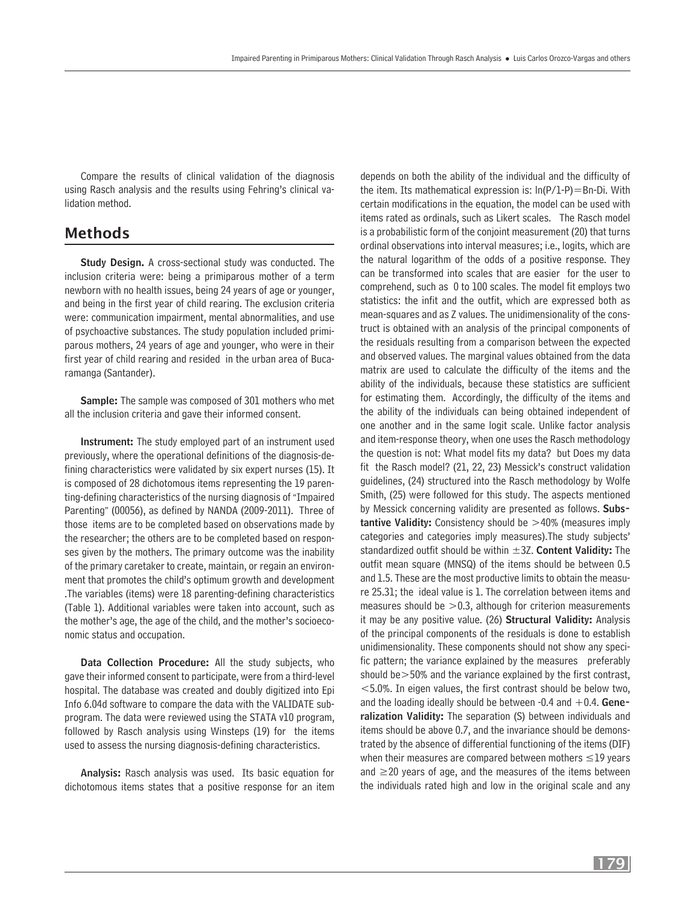Compare the results of clinical validation of the diagnosis using Rasch analysis and the results using Fehring's clinical validation method.

## Methods

Study Design. A cross-sectional study was conducted. The inclusion criteria were: being a primiparous mother of a term newborn with no health issues, being 24 years of age or younger, and being in the first year of child rearing. The exclusion criteria were: communication impairment, mental abnormalities, and use of psychoactive substances. The study population included primiparous mothers, 24 years of age and younger, who were in their first year of child rearing and resided in the urban area of Bucaramanga (Santander).

Sample: The sample was composed of 301 mothers who met all the inclusion criteria and gave their informed consent.

Instrument: The study employed part of an instrument used previously, where the operational definitions of the diagnosis-defining characteristics were validated by six expert nurses (15). It is composed of 28 dichotomous items representing the 19 parenting-defining characteristics of the nursing diagnosis of "Impaired Parenting" (00056), as defined by NANDA (2009-2011). Three of those items are to be completed based on observations made by the researcher; the others are to be completed based on responses given by the mothers. The primary outcome was the inability of the primary caretaker to create, maintain, or regain an environment that promotes the child's optimum growth and development .The variables (items) were 18 parenting-defining characteristics (Table 1). Additional variables were taken into account, such as the mother's age, the age of the child, and the mother's socioeconomic status and occupation.

Data Collection Procedure: All the study subjects, who gave their informed consent to participate, were from a third-level hospital. The database was created and doubly digitized into Epi Info 6.04d software to compare the data with the VALIDATE subprogram. The data were reviewed using the STATA v10 program, followed by Rasch analysis using Winsteps (19) for the items used to assess the nursing diagnosis-defining characteristics.

Analysis: Rasch analysis was used. Its basic equation for dichotomous items states that a positive response for an item

depends on both the ability of the individual and the difficulty of the item. Its mathematical expression is:  $ln(P/I-P)=Bn-Di$ . With certain modifications in the equation, the model can be used with items rated as ordinals, such as Likert scales. The Rasch model is a probabilistic form of the conjoint measurement (20) that turns ordinal observations into interval measures; i.e., logits, which are the natural logarithm of the odds of a positive response. They can be transformed into scales that are easier for the user to comprehend, such as 0 to 100 scales. The model fit employs two statistics: the infit and the outfit, which are expressed both as mean-squares and as Z values. The unidimensionality of the construct is obtained with an analysis of the principal components of the residuals resulting from a comparison between the expected and observed values. The marginal values obtained from the data matrix are used to calculate the difficulty of the items and the ability of the individuals, because these statistics are sufficient for estimating them. Accordingly, the difficulty of the items and the ability of the individuals can being obtained independent of one another and in the same logit scale. Unlike factor analysis and item-response theory, when one uses the Rasch methodology the question is not: What model fits my data? but Does my data fit the Rasch model? (21, 22, 23) Messick's construct validation guidelines, (24) structured into the Rasch methodology by Wolfe Smith, (25) were followed for this study. The aspects mentioned by Messick concerning validity are presented as follows. Substantive Validity: Consistency should be >40% (measures imply categories and categories imply measures).The study subjects' standardized outfit should be within  $\pm 3Z$ . Content Validity: The outfit mean square (MNSQ) of the items should be between 0.5 and 1.5. These are the most productive limits to obtain the measure 25.31; the ideal value is 1. The correlation between items and measures should be  $>0.3$ , although for criterion measurements it may be any positive value. (26) Structural Validity: Analysis of the principal components of the residuals is done to establish unidimensionality. These components should not show any specific pattern; the variance explained by the measures preferably should  $be \geq 50\%$  and the variance explained by the first contrast,  $<$  5.0%. In eigen values, the first contrast should be below two, and the loading ideally should be between -0.4 and  $+0.4$ . Generalization Validity: The separation (S) between individuals and items should be above 0.7, and the invariance should be demonstrated by the absence of differential functioning of the items (DIF) when their measures are compared between mothers ≤19 years and  $\geq$ 20 years of age, and the measures of the items between the individuals rated high and low in the original scale and any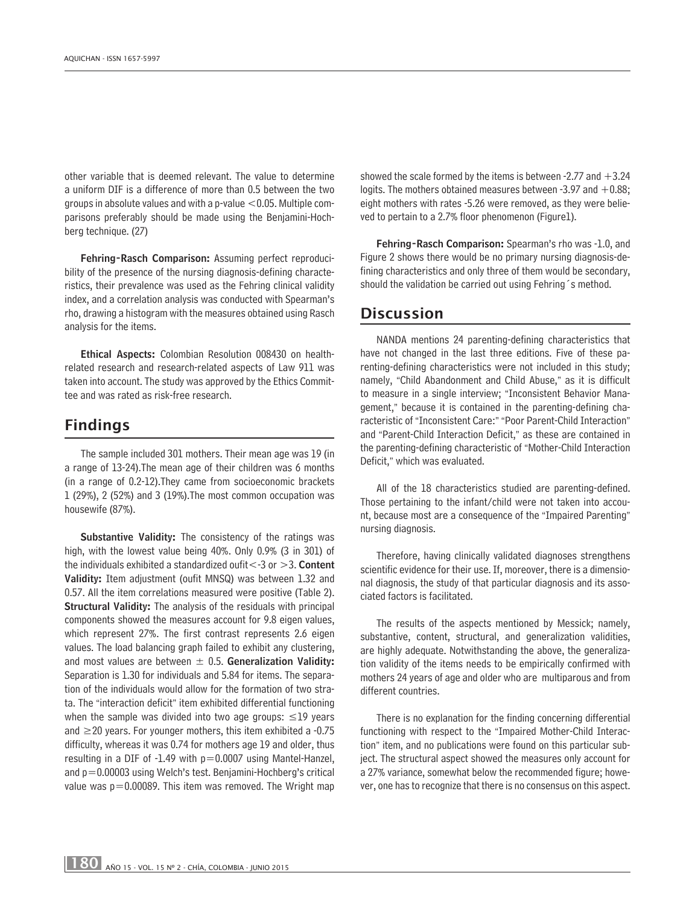other variable that is deemed relevant. The value to determine a uniform DIF is a difference of more than 0.5 between the two groups in absolute values and with a p-value  $<$  0.05. Multiple comparisons preferably should be made using the Benjamini-Hochberg technique. (27)

Fehring-Rasch Comparison: Assuming perfect reproducibility of the presence of the nursing diagnosis-defining characteristics, their prevalence was used as the Fehring clinical validity index, and a correlation analysis was conducted with Spearman's rho, drawing a histogram with the measures obtained using Rasch analysis for the items.

Ethical Aspects: Colombian Resolution 008430 on healthrelated research and research-related aspects of Law 911 was taken into account. The study was approved by the Ethics Committee and was rated as risk-free research.

# Findings

The sample included 301 mothers. Their mean age was 19 (in a range of 13-24).The mean age of their children was 6 months (in a range of 0.2-12).They came from socioeconomic brackets 1 (29%), 2 (52%) and 3 (19%).The most common occupation was housewife (87%).

Substantive Validity: The consistency of the ratings was high, with the lowest value being 40%. Only 0.9% (3 in 301) of the individuals exhibited a standardized oufit  $<$ -3 or  $>$ 3. Content Validity: Item adjustment (oufit MNSQ) was between 1.32 and 0.57. All the item correlations measured were positive (Table 2). Structural Validity: The analysis of the residuals with principal components showed the measures account for 9.8 eigen values, which represent 27%. The first contrast represents 2.6 eigen values. The load balancing graph failed to exhibit any clustering, and most values are between  $\pm$  0.5. Generalization Validity: Separation is 1.30 for individuals and 5.84 for items. The separation of the individuals would allow for the formation of two strata. The "interaction deficit" item exhibited differential functioning when the sample was divided into two age groups:  $\leq$ 19 years and  $\geq$  20 years. For younger mothers, this item exhibited a -0.75 difficulty, whereas it was 0.74 for mothers age 19 and older, thus resulting in a DIF of  $-1.49$  with  $p=0.0007$  using Mantel-Hanzel, and  $p=0.00003$  using Welch's test. Benjamini-Hochberg's critical value was  $p=0.00089$ . This item was removed. The Wright map showed the scale formed by the items is between -2.77 and  $+3.24$ logits. The mothers obtained measures between  $-3.97$  and  $+0.88$ ; eight mothers with rates -5.26 were removed, as they were believed to pertain to a 2.7% floor phenomenon (Figure1).

Fehring-Rasch Comparison: Spearman's rho was -1.0, and Figure 2 shows there would be no primary nursing diagnosis-defining characteristics and only three of them would be secondary, should the validation be carried out using Fehring's method.

### Discussion

NANDA mentions 24 parenting-defining characteristics that have not changed in the last three editions. Five of these parenting-defining characteristics were not included in this study; namely, "Child Abandonment and Child Abuse," as it is difficult to measure in a single interview; "Inconsistent Behavior Management," because it is contained in the parenting-defining characteristic of "Inconsistent Care:" "Poor Parent-Child Interaction" and "Parent-Child Interaction Deficit," as these are contained in the parenting-defining characteristic of "Mother-Child Interaction Deficit," which was evaluated.

All of the 18 characteristics studied are parenting-defined. Those pertaining to the infant/child were not taken into account, because most are a consequence of the "Impaired Parenting" nursing diagnosis.

Therefore, having clinically validated diagnoses strengthens scientific evidence for their use. If, moreover, there is a dimensional diagnosis, the study of that particular diagnosis and its associated factors is facilitated.

The results of the aspects mentioned by Messick; namely, substantive, content, structural, and generalization validities, are highly adequate. Notwithstanding the above, the generalization validity of the items needs to be empirically confirmed with mothers 24 years of age and older who are multiparous and from different countries.

There is no explanation for the finding concerning differential functioning with respect to the "Impaired Mother-Child Interaction" item, and no publications were found on this particular subject. The structural aspect showed the measures only account for a 27% variance, somewhat below the recommended figure; however, one has to recognize that there is no consensus on this aspect.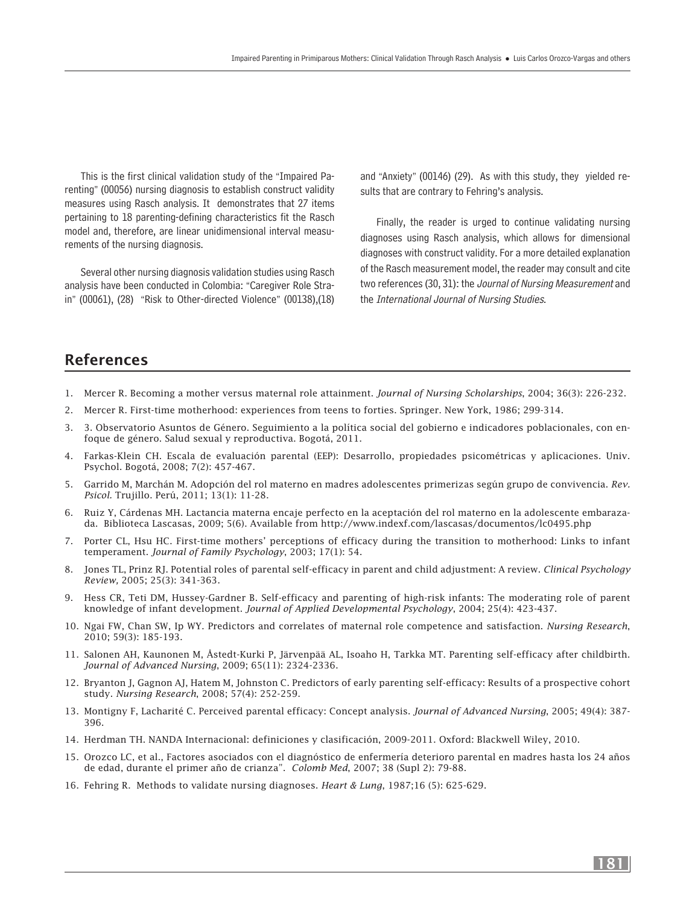This is the first clinical validation study of the "Impaired Parenting" (00056) nursing diagnosis to establish construct validity measures using Rasch analysis. It demonstrates that 27 items pertaining to 18 parenting-defining characteristics fit the Rasch model and, therefore, are linear unidimensional interval measurements of the nursing diagnosis.

Several other nursing diagnosis validation studies using Rasch analysis have been conducted in Colombia: "Caregiver Role Strain" (00061), (28) "Risk to Other-directed Violence" (00138),(18) and "Anxiety" (00146) (29). As with this study, they yielded results that are contrary to Fehring's analysis.

Finally, the reader is urged to continue validating nursing diagnoses using Rasch analysis, which allows for dimensional diagnoses with construct validity. For a more detailed explanation of the Rasch measurement model, the reader may consult and cite two references (30, 31): the *Journal of Nursing Measurement* and the International Journal of Nursing Studies.

# References

- 1. Mercer R. Becoming a mother versus maternal role attainment. *Journal of Nursing Scholarships*, 2004; 36(3): 226-232.
- 2. Mercer R. First-time motherhood: experiences from teens to forties. Springer. New York, 1986; 299-314.
- 3. 3. Observatorio Asuntos de Género. Seguimiento a la política social del gobierno e indicadores poblacionales, con enfoque de género. Salud sexual y reproductiva. Bogotá, 2011.
- 4. Farkas-Klein CH. Escala de evaluación parental (EEP): Desarrollo, propiedades psicométricas y aplicaciones. Univ. Psychol. Bogotá, 2008; 7(2): 457-467.
- 5. Garrido M, Marchán M. Adopción del rol materno en madres adolescentes primerizas según grupo de convivencia. *Rev. Psicol.* Trujillo. Perú, 2011; 13(1): 11-28.
- 6. Ruiz Y, Cárdenas MH. Lactancia materna encaje perfecto en la aceptación del rol materno en la adolescente embarazada. Biblioteca Lascasas, 2009; 5(6). Available from http://www.indexf.com/lascasas/documentos/lc0495.php
- 7. Porter CL, Hsu HC. First-time mothers' perceptions of efficacy during the transition to motherhood: Links to infant temperament. *Journal of Family Psychology*, 2003; 17(1): 54.
- 8. Jones TL, Prinz RJ. Potential roles of parental self-efficacy in parent and child adjustment: A review. *Clinical Psychology Review,* 2005; 25(3): 341-363.
- 9. Hess CR, Teti DM, Hussey-Gardner B. Self-efficacy and parenting of high-risk infants: The moderating role of parent knowledge of infant development. *Journal of Applied Developmental Psychology*, 2004; 25(4): 423-437.
- 10. Ngai FW, Chan SW, Ip WY. Predictors and correlates of maternal role competence and satisfaction. *Nursing Research*, 2010; 59(3): 185-193.
- 11. Salonen AH, Kaunonen M, Åstedt-Kurki P, Järvenpää AL, Isoaho H, Tarkka MT. Parenting self-efficacy after childbirth. *Journal of Advanced Nursing*, 2009; 65(11): 2324-2336.
- 12. Bryanton J, Gagnon AJ, Hatem M, Johnston C. Predictors of early parenting self-efficacy: Results of a prospective cohort study. *Nursing Research*, 2008; 57(4): 252-259.
- 13. Montigny F, Lacharité C. Perceived parental efficacy: Concept analysis. *Journal of Advanced Nursing*, 2005; 49(4): 387- 396.
- 14. Herdman TH. NANDA Internacional: definiciones y clasificación, 2009-2011. Oxford: Blackwell Wiley, 2010.
- 15. Orozco LC, et al., Factores asociados con el diagnóstico de enfermería deterioro parental en madres hasta los 24 años de edad, durante el primer año de crianza". *Colomb Med*, 2007; 38 (Supl 2): 79-88.
- 16. Fehring R. Methods to validate nursing diagnoses. *Heart & Lung*, 1987;16 (5): 625-629.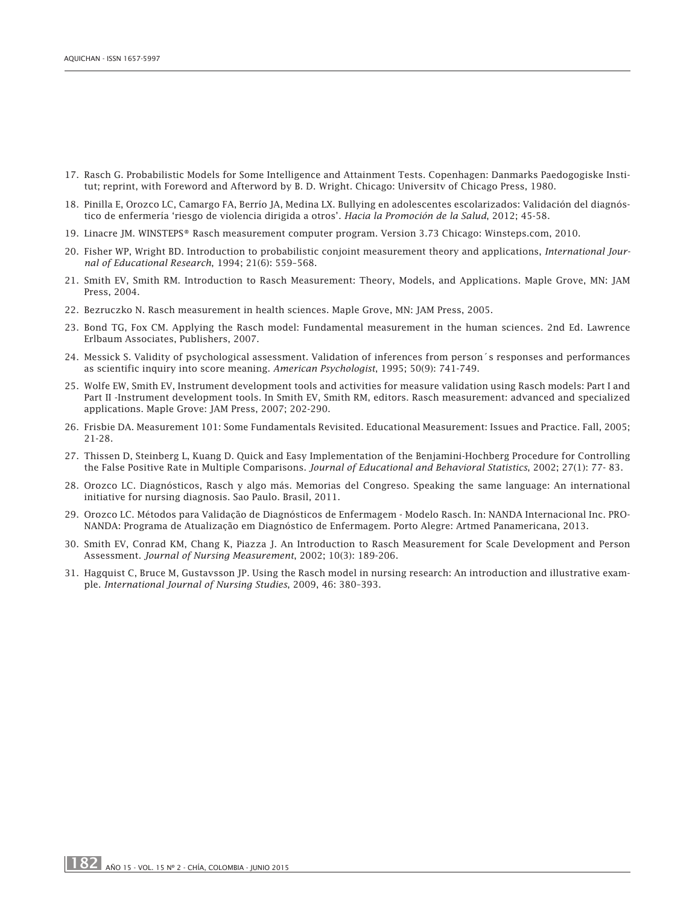- 17. Rasch G. Probabilistic Models for Some Intelligence and Attainment Tests. Copenhagen: Danmarks Paedogogiske Institut; reprint, with Foreword and Afterword by B. D. Wright. Chicago: Universitv of Chicago Press, 1980.
- 18. Pinilla E, Orozco LC, Camargo FA, Berrío JA, Medina LX. Bullying en adolescentes escolarizados: Validación del diagnóstico de enfermería 'riesgo de violencia dirigida a otros'. *Hacia la Promoción de la Salud*, 2012; 45-58.
- 19. Linacre JM. WINSTEPS® Rasch measurement computer program. Version 3.73 Chicago: Winsteps.com, 2010.
- 20. Fisher WP, Wright BD. Introduction to probabilistic conjoint measurement theory and applications, *International Journal of Educational Research*, 1994; 21(6): 559–568.
- 21. Smith EV, Smith RM. Introduction to Rasch Measurement: Theory, Models, and Applications. Maple Grove, MN: JAM Press, 2004.
- 22. Bezruczko N. Rasch measurement in health sciences. Maple Grove, MN: JAM Press, 2005.
- 23. Bond TG, Fox CM. Applying the Rasch model: Fundamental measurement in the human sciences. 2nd Ed. Lawrence Erlbaum Associates, Publishers, 2007.
- 24. Messick S. Validity of psychological assessment. Validation of inferences from person´s responses and performances as scientific inquiry into score meaning. *American Psychologist*, 1995; 50(9): 741-749.
- 25. Wolfe EW, Smith EV, Instrument development tools and activities for measure validation using Rasch models: Part I and Part II -Instrument development tools. In Smith EV, Smith RM, editors. Rasch measurement: advanced and specialized applications. Maple Grove: JAM Press, 2007; 202-290.
- 26. Frisbie DA. Measurement 101: Some Fundamentals Revisited. Educational Measurement: Issues and Practice. Fall, 2005; 21-28.
- 27. Thissen D, Steinberg L, Kuang D. Quick and Easy Implementation of the Benjamini-Hochberg Procedure for Controlling the False Positive Rate in Multiple Comparisons. *Journal of Educational and Behavioral Statistics*, 2002; 27(1): 77- 83.
- 28. Orozco LC. Diagnósticos, Rasch y algo más. Memorias del Congreso. Speaking the same language: An international initiative for nursing diagnosis. Sao Paulo. Brasil, 2011.
- 29. Orozco LC. Métodos para Validação de Diagnósticos de Enfermagem Modelo Rasch. In: NANDA Internacional Inc. PRO-NANDA: Programa de Atualização em Diagnóstico de Enfermagem. Porto Alegre: Artmed Panamericana, 2013.
- 30. Smith EV, Conrad KM, Chang K, Piazza J. An Introduction to Rasch Measurement for Scale Development and Person Assessment. *Journal of Nursing Measurement*, 2002; 10(3): 189-206.
- 31. Hagquist C, Bruce M, Gustavsson JP. Using the Rasch model in nursing research: An introduction and illustrative example. *International Journal of Nursing Studies*, 2009, 46: 380–393.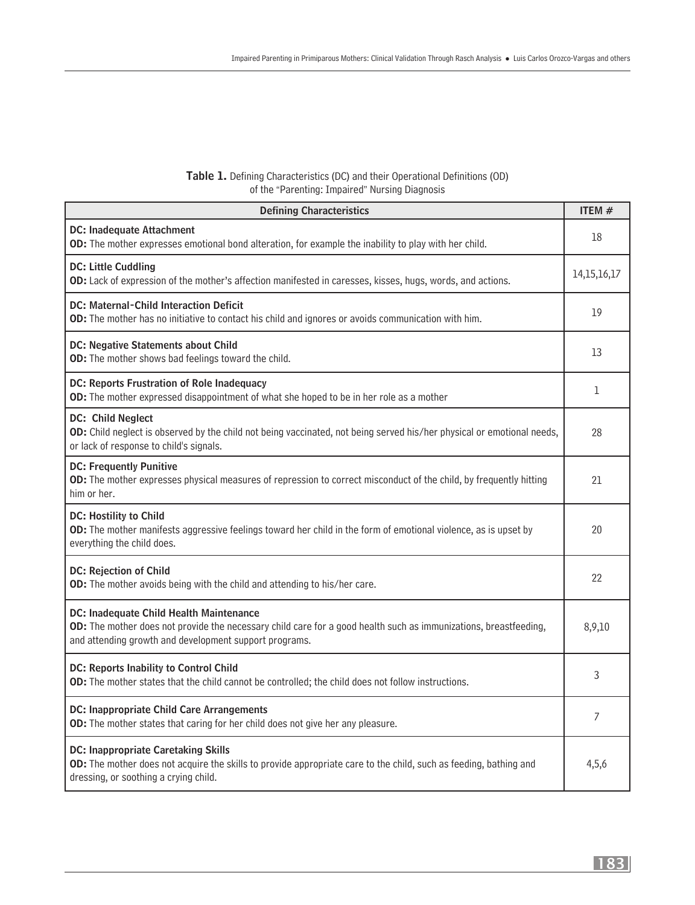### Table 1. Defining Characteristics (DC) and their Operational Definitions (OD) of the "Parenting: Impaired" Nursing Diagnosis

| <b>Defining Characteristics</b>                                                                                                                                                                                       | ITEM# |  |  |  |
|-----------------------------------------------------------------------------------------------------------------------------------------------------------------------------------------------------------------------|-------|--|--|--|
| <b>DC: Inadequate Attachment</b><br>OD: The mother expresses emotional bond alteration, for example the inability to play with her child.                                                                             |       |  |  |  |
| <b>DC: Little Cuddling</b><br>OD: Lack of expression of the mother's affection manifested in caresses, kisses, hugs, words, and actions.                                                                              |       |  |  |  |
| <b>DC: Maternal-Child Interaction Deficit</b><br>OD: The mother has no initiative to contact his child and ignores or avoids communication with him.                                                                  |       |  |  |  |
| DC: Negative Statements about Child<br>OD: The mother shows bad feelings toward the child.                                                                                                                            |       |  |  |  |
| DC: Reports Frustration of Role Inadequacy<br>OD: The mother expressed disappointment of what she hoped to be in her role as a mother                                                                                 | 1     |  |  |  |
| DC: Child Neglect<br>OD: Child neglect is observed by the child not being vaccinated, not being served his/her physical or emotional needs,<br>or lack of response to child's signals.                                | 28    |  |  |  |
| <b>DC: Frequently Punitive</b><br>OD: The mother expresses physical measures of repression to correct misconduct of the child, by frequently hitting<br>him or her.                                                   | 21    |  |  |  |
| DC: Hostility to Child<br>OD: The mother manifests aggressive feelings toward her child in the form of emotional violence, as is upset by<br>everything the child does.                                               | 20    |  |  |  |
| <b>DC: Rejection of Child</b><br>OD: The mother avoids being with the child and attending to his/her care.                                                                                                            | 22    |  |  |  |
| DC: Inadequate Child Health Maintenance<br>OD: The mother does not provide the necessary child care for a good health such as immunizations, breastfeeding,<br>and attending growth and development support programs. |       |  |  |  |
| DC: Reports Inability to Control Child<br>OD: The mother states that the child cannot be controlled; the child does not follow instructions.                                                                          | 3     |  |  |  |
| <b>DC: Inappropriate Child Care Arrangements</b><br>OD: The mother states that caring for her child does not give her any pleasure.                                                                                   | 7     |  |  |  |
| <b>DC: Inappropriate Caretaking Skills</b><br>OD: The mother does not acquire the skills to provide appropriate care to the child, such as feeding, bathing and<br>dressing, or soothing a crying child.              | 4,5,6 |  |  |  |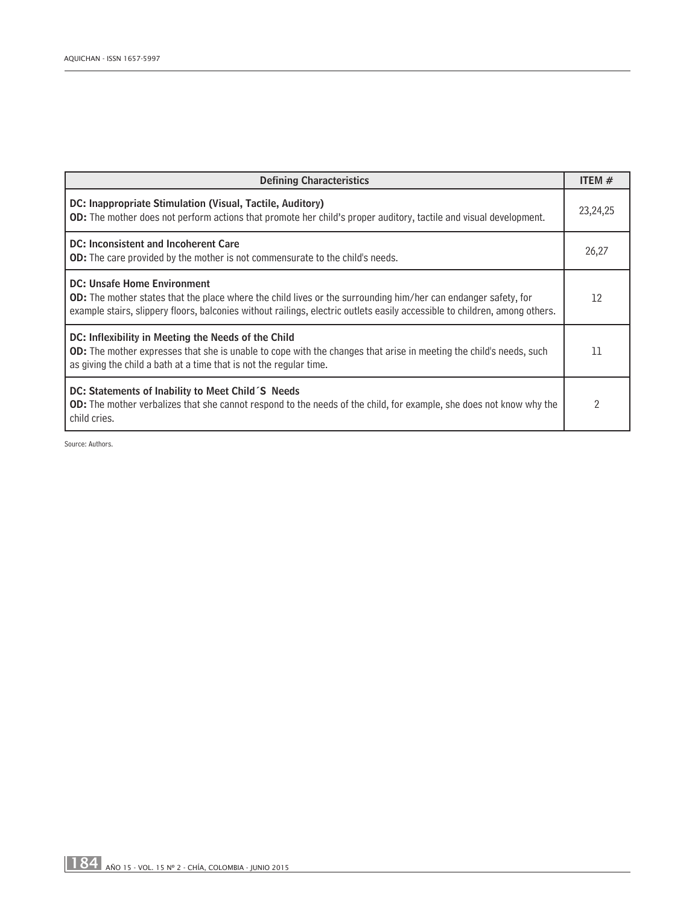| <b>Defining Characteristics</b>                                                                                                                                                                                                                                                           |                |  |  |
|-------------------------------------------------------------------------------------------------------------------------------------------------------------------------------------------------------------------------------------------------------------------------------------------|----------------|--|--|
| DC: Inappropriate Stimulation (Visual, Tactile, Auditory)<br><b>OD:</b> The mother does not perform actions that promote her child's proper auditory, tactile and visual development.                                                                                                     |                |  |  |
| DC: Inconsistent and Incoherent Care<br><b>OD:</b> The care provided by the mother is not commensurate to the child's needs.                                                                                                                                                              |                |  |  |
| <b>DC: Unsafe Home Environment</b><br><b>OD:</b> The mother states that the place where the child lives or the surrounding him/her can endanger safety, for<br>example stairs, slippery floors, balconies without railings, electric outlets easily accessible to children, among others. | 12             |  |  |
| DC: Inflexibility in Meeting the Needs of the Child<br><b>OD:</b> The mother expresses that she is unable to cope with the changes that arise in meeting the child's needs, such<br>as giving the child a bath at a time that is not the regular time.                                    | 11             |  |  |
| DC: Statements of Inability to Meet Child S Needs<br><b>OD:</b> The mother verbalizes that she cannot respond to the needs of the child, for example, she does not know why the<br>child cries.                                                                                           | $\overline{2}$ |  |  |

Source: Authors.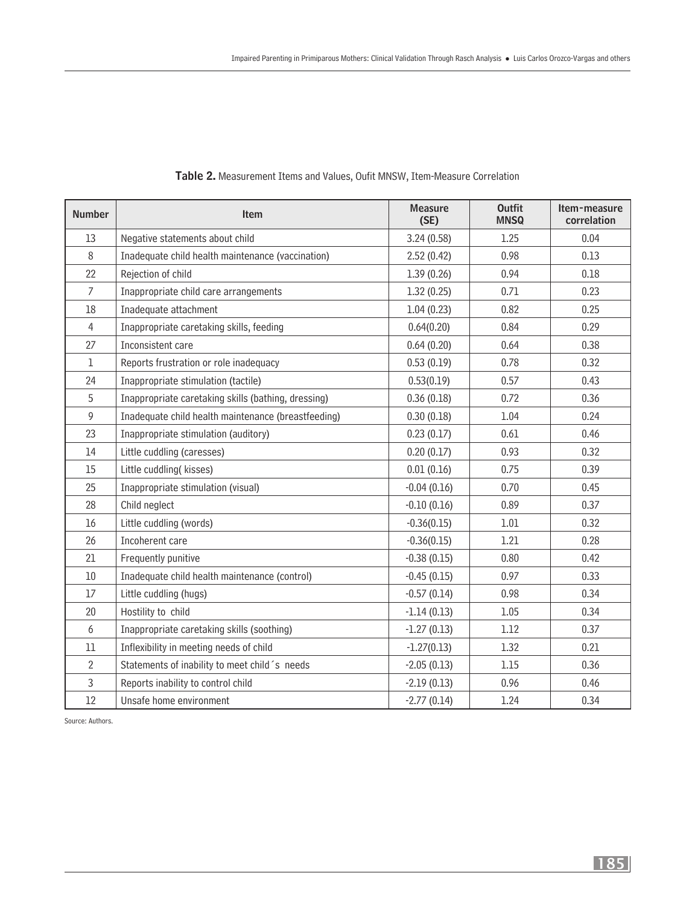| <b>Number</b>  | <b>Item</b>                                         | <b>Measure</b><br>(SE) | <b>Outfit</b><br><b>MNSQ</b> | Item-measure<br>correlation |
|----------------|-----------------------------------------------------|------------------------|------------------------------|-----------------------------|
| 13             | Negative statements about child                     | 3.24(0.58)             | 1.25                         | 0.04                        |
| $8\,$          | Inadequate child health maintenance (vaccination)   | 2.52(0.42)             | 0.98                         | 0.13                        |
| 22             | Rejection of child                                  | 1.39(0.26)             | 0.94                         | 0.18                        |
| $\overline{7}$ | Inappropriate child care arrangements               | 1.32(0.25)             | 0.71                         | 0.23                        |
| 18             | Inadequate attachment                               | 1.04(0.23)             | 0.82                         | 0.25                        |
| $\overline{4}$ | Inappropriate caretaking skills, feeding            | 0.64(0.20)             | 0.84                         | 0.29                        |
| 27             | Inconsistent care                                   | 0.64(0.20)             | 0.64                         | 0.38                        |
| 1              | Reports frustration or role inadequacy              | 0.53(0.19)             | 0.78                         | 0.32                        |
| 24             | Inappropriate stimulation (tactile)                 | 0.53(0.19)             | 0.57                         | 0.43                        |
| 5              | Inappropriate caretaking skills (bathing, dressing) | 0.36(0.18)             | 0.72                         | 0.36                        |
| 9              | Inadequate child health maintenance (breastfeeding) | 0.30(0.18)             | 1.04                         | 0.24                        |
| 23             | Inappropriate stimulation (auditory)                | 0.23(0.17)             | 0.61                         | 0.46                        |
| 14             | Little cuddling (caresses)                          | 0.20(0.17)             | 0.93                         | 0.32                        |
| 15             | Little cuddling(kisses)                             | 0.01(0.16)             | 0.75                         | 0.39                        |
| 25             | Inappropriate stimulation (visual)                  | $-0.04(0.16)$          | 0.70                         | 0.45                        |
| 28             | Child neglect                                       | $-0.10(0.16)$          | 0.89                         | 0.37                        |
| 16             | Little cuddling (words)                             | $-0.36(0.15)$          | 1.01                         | 0.32                        |
| 26             | Incoherent care                                     | $-0.36(0.15)$          | 1.21                         | 0.28                        |
| 21             | Frequently punitive                                 | $-0.38(0.15)$          | 0.80                         | 0.42                        |
| 10             | Inadequate child health maintenance (control)       | $-0.45(0.15)$          | 0.97                         | 0.33                        |
| 17             | Little cuddling (hugs)                              | $-0.57(0.14)$          | 0.98                         | 0.34                        |
| 20             | Hostility to child                                  | $-1.14(0.13)$          | 1.05                         | 0.34                        |
| 6              | Inappropriate caretaking skills (soothing)          | $-1.27(0.13)$          | 1.12                         | 0.37                        |
| 11             | Inflexibility in meeting needs of child             | $-1.27(0.13)$          | 1.32                         | 0.21                        |
| $\overline{2}$ | Statements of inability to meet child's needs       | $-2.05(0.13)$          | 1.15                         | 0.36                        |
| 3              | Reports inability to control child                  | $-2.19(0.13)$          | 0.96                         | 0.46                        |
| $12\,$         | Unsafe home environment                             | $-2.77(0.14)$          | 1.24                         | 0.34                        |

#### Table 2. Measurement Items and Values, Oufit MNSW, Item-Measure Correlation

Source: Authors.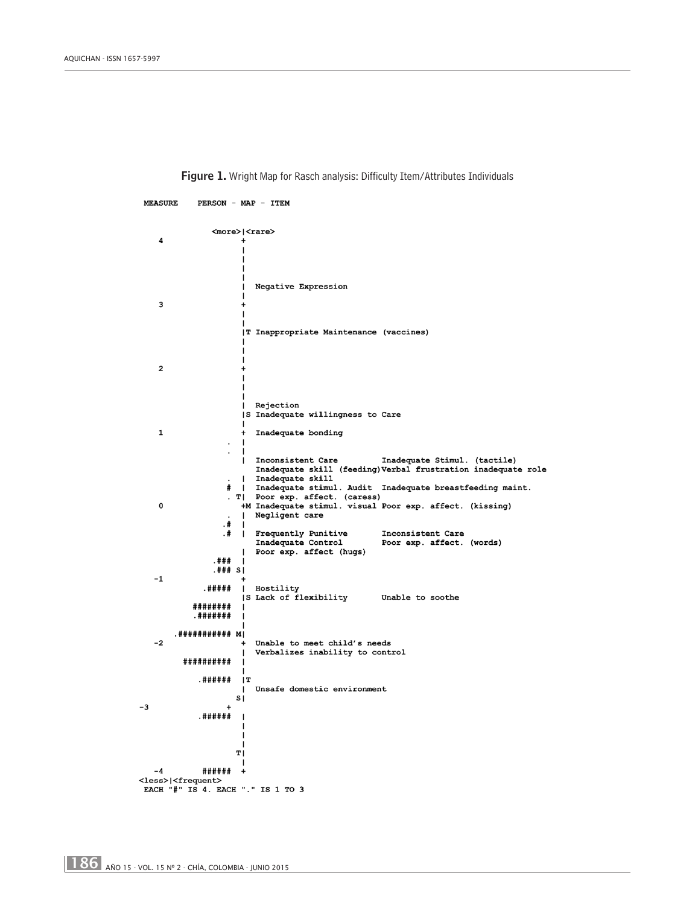**MEASURE** PERSON - MAP - ITEM  $<sub>more</sub>$   $<sub>trans</sub>$ </sub></sub>  $\mathbf{A}$ Negative Expression 3 T Inappropriate Maintenance (vaccines)  $\overline{\mathbf{c}}$ Rejection S Inadequate willingness to Care  $\mathbf 1$ Inadequate bonding  $\overline{\phantom{a}}$  $\ddot{\phantom{a}}$ Inconsistent Care [Inadequate Stimul. (tactile)<br>Inadequate skill (feeding)Verbal frustration inadequate role Inconsistent Care Inadequate skill  $\overline{1}$ Inadequate skiil. Audit Inadequate breastfeeding maint.  $\pmb{\ast}$  $\blacksquare$ - Poor exp. affect. (caress)<br>
HM Inadequate stimul. visual Poor exp. affect. (kissing)  $\cdot$   $\overline{r}$  $\mathbf 0$ Negligent care  $.#$  $.#$ Frequently Punitive Inconsistent Care  $\overline{\phantom{a}}$ Inadequate Control Poor exp. affect. (words) Poor exp. affect (hugs) .###  $. # # * s|$  $-1$ . #####  $\mathbf{I}$ Hostility S Lack of flexibility Unable to soothe ######## . ####### .########### M|  $-2$ Unable to meet child's needs Verbalizes inability to control ########## . ###### IT Unsafe domestic environment  $\overline{\mathbf{s}}$  $-3$  $\ddot{+}$ . ######  $\mathbf T$ ######  $-4$  $\overline{+}$ <less>|<frequent> EACH "#" IS 4. EACH "." IS 1 TO 3

Figure 1. Wright Map for Rasch analysis: Difficulty Item/Attributes Individuals